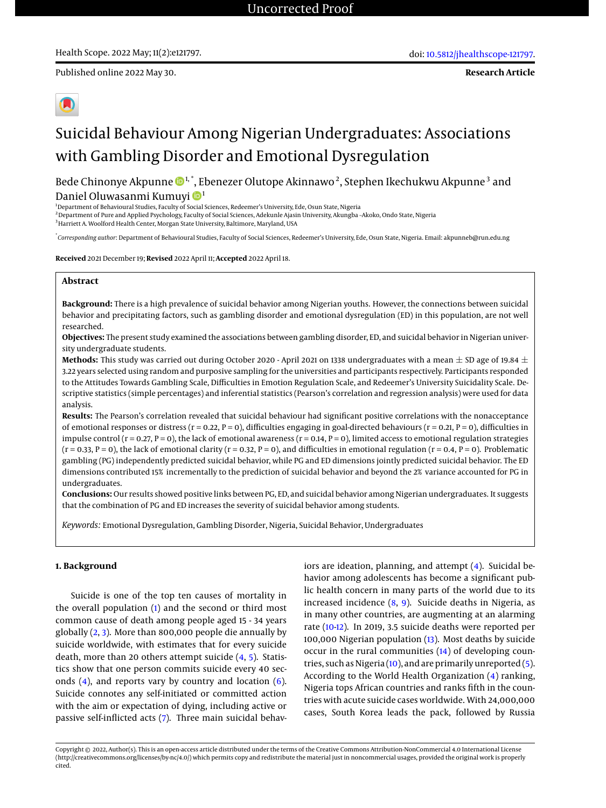**Research Article**

# Suicidal Behaviour Among Nigerian Undergraduates: Associations with Gambling Disorder and Emotional Dysregulation

Bede Chinonye Akpunne �����, Ebenezer Olutope Akinnawo <sup>2</sup>, Stephen Ikechukwu Akpunne  $^3$  and Daniel Oluwasanmi Kumuyi <sup>1</sup>

<sup>1</sup>Department of Behavioural Studies, Faculty of Social Sciences, Redeemer's University, Ede, Osun State, Nigeria

<sup>2</sup>Department of Pure and Applied Psychology, Faculty of Social Sciences, Adekunle Ajasin University, Akungba –Akoko, Ondo State, Nigeria

<sup>3</sup>Harriett A. Woolford Health Center, Morgan State University, Baltimore, Maryland, USA

\* *Corresponding author*: Department of Behavioural Studies, Faculty of Social Sciences, Redeemer's University, Ede, Osun State, Nigeria. Email: akpunneb@run.edu.ng

**Received** 2021 December 19; **Revised** 2022 April 11; **Accepted** 2022 April 18.

## **Abstract**

**Background:** There is a high prevalence of suicidal behavior among Nigerian youths. However, the connections between suicidal behavior and precipitating factors, such as gambling disorder and emotional dysregulation (ED) in this population, are not well researched.

**Objectives:** The present study examined the associations between gambling disorder, ED, and suicidal behavior in Nigerian university undergraduate students.

**Methods:** This study was carried out during October 2020 - April 2021 on 1338 undergraduates with a mean  $\pm$  SD age of 19.84  $\pm$ 3.22 years selected using random and purposive sampling for the universities and participants respectively. Participants responded to the Attitudes Towards Gambling Scale, Difficulties in Emotion Regulation Scale, and Redeemer's University Suicidality Scale. Descriptive statistics (simple percentages) and inferential statistics (Pearson's correlation and regression analysis) were used for data analysis.

**Results:** The Pearson's correlation revealed that suicidal behaviour had significant positive correlations with the nonacceptance of emotional responses or distress ( $r = 0.22$ ,  $P = 0$ ), difficulties engaging in goal-directed behaviours ( $r = 0.21$ ,  $P = 0$ ), difficulties in impulse control ( $r = 0.27$ ,  $P = 0$ ), the lack of emotional awareness ( $r = 0.14$ ,  $P = 0$ ), limited access to emotional regulation strategies  $(r = 0.33, P = 0)$ , the lack of emotional clarity  $(r = 0.32, P = 0)$ , and difficulties in emotional regulation  $(r = 0.4, P = 0)$ . Problematic gambling (PG) independently predicted suicidal behavior, while PG and ED dimensions jointly predicted suicidal behavior. The ED dimensions contributed 15% incrementally to the prediction of suicidal behavior and beyond the 2% variance accounted for PG in undergraduates.

**Conclusions:** Our results showed positive links between PG, ED, and suicidal behavior among Nigerian undergraduates. It suggests that the combination of PG and ED increases the severity of suicidal behavior among students.

*Keywords:* Emotional Dysregulation, Gambling Disorder, Nigeria, Suicidal Behavior, Undergraduates

#### **1. Background**

Suicide is one of the top ten causes of mortality in the overall population [\(1\)](#page-6-0) and the second or third most common cause of death among people aged 15 - 34 years globally [\(2,](#page-6-1) [3\)](#page-6-2). More than 800,000 people die annually by suicide worldwide, with estimates that for every suicide death, more than 20 others attempt suicide [\(4,](#page-6-3) [5\)](#page-6-4). Statistics show that one person commits suicide every 40 seconds  $(4)$ , and reports vary by country and location  $(6)$ . Suicide connotes any self-initiated or committed action with the aim or expectation of dying, including active or passive self-inflicted acts [\(7\)](#page-6-6). Three main suicidal behaviors are ideation, planning, and attempt [\(4\)](#page-6-3). Suicidal behavior among adolescents has become a significant public health concern in many parts of the world due to its increased incidence [\(8,](#page-6-7) [9\)](#page-6-8). Suicide deaths in Nigeria, as in many other countries, are augmenting at an alarming rate [\(10](#page-6-9)[-12\)](#page-6-10). In 2019, 3.5 suicide deaths were reported per 100,000 Nigerian population [\(13\)](#page-6-11). Most deaths by suicide occur in the rural communities [\(14\)](#page-6-12) of developing countries, such as Nigeria [\(10\)](#page-6-9), and are primarily unreported [\(5\)](#page-6-4). According to the World Health Organization [\(4\)](#page-6-3) ranking, Nigeria tops African countries and ranks fifth in the countries with acute suicide cases worldwide. With 24,000,000 cases, South Korea leads the pack, followed by Russia

Copyright © 2022, Author(s). This is an open-access article distributed under the terms of the Creative Commons Attribution-NonCommercial 4.0 International License (http://creativecommons.org/licenses/by-nc/4.0/) which permits copy and redistribute the material just in noncommercial usages, provided the original work is properly cited.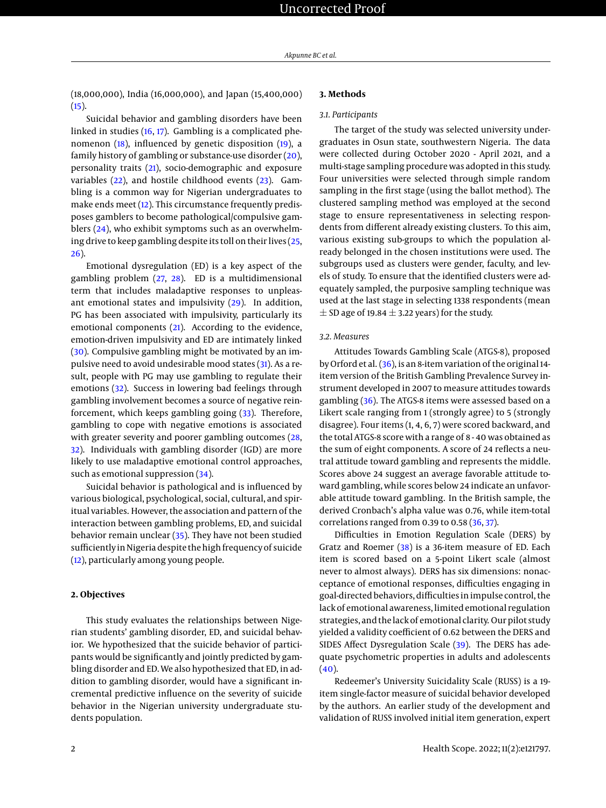(18,000,000), India (16,000,000), and Japan (15,400,000)  $(15).$  $(15).$ 

Suicidal behavior and gambling disorders have been linked in studies [\(16,](#page-6-14) [17\)](#page-6-15). Gambling is a complicated phenomenon [\(18\)](#page-6-16), influenced by genetic disposition [\(19\)](#page-6-17), a family history of gambling or substance-use disorder [\(20\)](#page-6-18), personality traits [\(21\)](#page-6-19), socio-demographic and exposure variables  $(22)$ , and hostile childhood events  $(23)$ . Gambling is a common way for Nigerian undergraduates to make ends meet [\(12\)](#page-6-10). This circumstance frequently predisposes gamblers to become pathological/compulsive gamblers [\(24\)](#page-6-22), who exhibit symptoms such as an overwhelming drive to keep gambling despite its toll on their lives [\(25,](#page-6-23) [26\)](#page-6-24).

Emotional dysregulation (ED) is a key aspect of the gambling problem [\(27,](#page-6-25) [28\)](#page-7-0). ED is a multidimensional term that includes maladaptive responses to unpleasant emotional states and impulsivity [\(29\)](#page-7-1). In addition, PG has been associated with impulsivity, particularly its emotional components [\(21\)](#page-6-19). According to the evidence, emotion-driven impulsivity and ED are intimately linked [\(30\)](#page-7-2). Compulsive gambling might be motivated by an impulsive need to avoid undesirable mood states [\(31\)](#page-7-3). As a result, people with PG may use gambling to regulate their emotions [\(32\)](#page-7-4). Success in lowering bad feelings through gambling involvement becomes a source of negative reinforcement, which keeps gambling going [\(33\)](#page-7-5). Therefore, gambling to cope with negative emotions is associated with greater severity and poorer gambling outcomes [\(28,](#page-7-0) [32\)](#page-7-4). Individuals with gambling disorder (IGD) are more likely to use maladaptive emotional control approaches, such as emotional suppression [\(34\)](#page-7-6).

Suicidal behavior is pathological and is influenced by various biological, psychological, social, cultural, and spiritual variables. However, the association and pattern of the interaction between gambling problems, ED, and suicidal behavior remain unclear [\(35\)](#page-7-7). They have not been studied sufficiently in Nigeria despite the high frequency of suicide [\(12\)](#page-6-10), particularly among young people.

# **2. Objectives**

This study evaluates the relationships between Nigerian students' gambling disorder, ED, and suicidal behavior. We hypothesized that the suicide behavior of participants would be significantly and jointly predicted by gambling disorder and ED. We also hypothesized that ED, in addition to gambling disorder, would have a significant incremental predictive influence on the severity of suicide behavior in the Nigerian university undergraduate students population.

# **3. Methods**

### *3.1. Participants*

The target of the study was selected university undergraduates in Osun state, southwestern Nigeria. The data were collected during October 2020 - April 2021, and a multi-stage sampling procedure was adopted in this study. Four universities were selected through simple random sampling in the first stage (using the ballot method). The clustered sampling method was employed at the second stage to ensure representativeness in selecting respondents from different already existing clusters. To this aim, various existing sub-groups to which the population already belonged in the chosen institutions were used. The subgroups used as clusters were gender, faculty, and levels of study. To ensure that the identified clusters were adequately sampled, the purposive sampling technique was used at the last stage in selecting 1338 respondents (mean  $\pm$  SD age of 19.84  $\pm$  3.22 years) for the study.

## *3.2. Measures*

Attitudes Towards Gambling Scale (ATGS-8), proposed by Orford et al. [\(36\)](#page-7-8), is an 8-item variation of the original 14 item version of the British Gambling Prevalence Survey instrument developed in 2007 to measure attitudes towards gambling [\(36\)](#page-7-8). The ATGS-8 items were assessed based on a Likert scale ranging from 1 (strongly agree) to 5 (strongly disagree). Four items (1, 4, 6, 7) were scored backward, and the total ATGS-8 score with a range of 8 - 40 was obtained as the sum of eight components. A score of 24 reflects a neutral attitude toward gambling and represents the middle. Scores above 24 suggest an average favorable attitude toward gambling, while scores below 24 indicate an unfavorable attitude toward gambling. In the British sample, the derived Cronbach's alpha value was 0.76, while item-total correlations ranged from 0.39 to 0.58 [\(36,](#page-7-8) [37\)](#page-7-9).

Difficulties in Emotion Regulation Scale (DERS) by Gratz and Roemer [\(38\)](#page-7-10) is a 36-item measure of ED. Each item is scored based on a 5-point Likert scale (almost never to almost always). DERS has six dimensions: nonacceptance of emotional responses, difficulties engaging in goal-directed behaviors, difficulties in impulse control, the lack of emotional awareness, limited emotional regulation strategies, and the lack of emotional clarity. Our pilot study yielded a validity coefficient of 0.62 between the DERS and SIDES Affect Dysregulation Scale [\(39\)](#page-7-11). The DERS has adequate psychometric properties in adults and adolescents  $(40).$  $(40).$ 

Redeemer's University Suicidality Scale (RUSS) is a 19 item single-factor measure of suicidal behavior developed by the authors. An earlier study of the development and validation of RUSS involved initial item generation, expert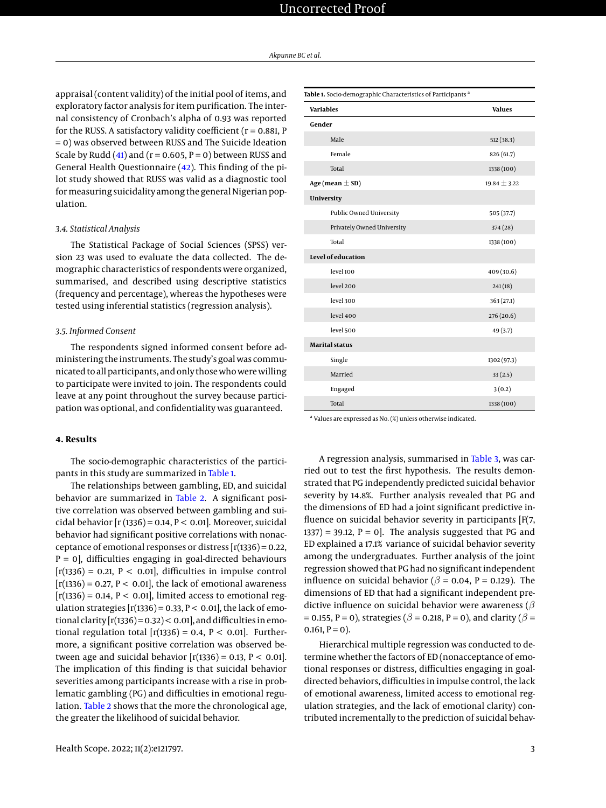appraisal (content validity) of the initial pool of items, and exploratory factor analysis for item purification. The internal consistency of Cronbach's alpha of 0.93 was reported for the RUSS. A satisfactory validity coefficient ( $r = 0.881$ , P = 0) was observed between RUSS and The Suicide Ideation Scale by Rudd [\(41\)](#page-7-13) and ( $r = 0.605$ ,  $P = 0$ ) between RUSS and General Health Questionnaire [\(42\)](#page-7-14). This finding of the pilot study showed that RUSS was valid as a diagnostic tool for measuring suicidality among the general Nigerian population.

# *3.4. Statistical Analysis*

The Statistical Package of Social Sciences (SPSS) version 23 was used to evaluate the data collected. The demographic characteristics of respondents were organized, summarised, and described using descriptive statistics (frequency and percentage), whereas the hypotheses were tested using inferential statistics (regression analysis).

#### *3.5. Informed Consent*

The respondents signed informed consent before administering the instruments. The study's goal was communicated to all participants, and only those who were willing to participate were invited to join. The respondents could leave at any point throughout the survey because participation was optional, and confidentiality was guaranteed.

# **4. Results**

The socio-demographic characteristics of the participants in this study are summarized in [Table 1.](#page-2-0)

The relationships between gambling, ED, and suicidal behavior are summarized in [Table 2.](#page-3-0) A significant positive correlation was observed between gambling and suicidal behavior  $[r(1336) = 0.14, P < 0.01]$ . Moreover, suicidal behavior had significant positive correlations with nonacceptance of emotional responses or distress  $[r(1336) = 0.22,$  $P = 0$ , difficulties engaging in goal-directed behaviours  $[r(1336) = 0.21, P < 0.01]$ , difficulties in impulse control  $[r(1336) = 0.27, P < 0.01]$ , the lack of emotional awareness  $[r(1336) = 0.14, P < 0.01]$ , limited access to emotional regulation strategies  $[r(1336) = 0.33, P < 0.01]$ , the lack of emotional clarity  $[r(1336) = 0.32] < 0.01$ , and difficulties in emotional regulation total  $[r(1336) = 0.4, P < 0.01]$ . Furthermore, a significant positive correlation was observed between age and suicidal behavior  $[r(1336) = 0.13, P < 0.01]$ . The implication of this finding is that suicidal behavior severities among participants increase with a rise in problematic gambling (PG) and difficulties in emotional regulation. [Table 2](#page-3-0) shows that the more the chronological age, the greater the likelihood of suicidal behavior.

<span id="page-2-0"></span>

| Table 1. Socio-demographic Characteristics of Participants <sup>a</sup> |                  |
|-------------------------------------------------------------------------|------------------|
| <b>Variables</b>                                                        | <b>Values</b>    |
| Gender                                                                  |                  |
| Male                                                                    | 512 (38.3)       |
| Female                                                                  | 826 (61.7)       |
| Total                                                                   | 1338 (100)       |
| Age (mean $\pm$ SD)                                                     | $19.84 \pm 3.22$ |
| University                                                              |                  |
| Public Owned University                                                 | 505 (37.7)       |
| Privately Owned University                                              | 374 (28)         |
| Total                                                                   | 1338 (100)       |
| Level of education                                                      |                  |
| level 100                                                               | 409 (30.6)       |
| level 200                                                               | 241(18)          |
| level 300                                                               | 363(27.1)        |
| level 400                                                               | 276 (20.6)       |
| level 500                                                               | 49 (3.7)         |
| <b>Marital status</b>                                                   |                  |
| Single                                                                  | 1302 (97.3)      |
| Married                                                                 | 33(2.5)          |
| Engaged                                                                 | 3(0.2)           |
| Total                                                                   | 1338 (100)       |

<sup>a</sup> Values are expressed as No. (%) unless otherwise indicated.

A regression analysis, summarised in [Table 3,](#page-3-1) was carried out to test the first hypothesis. The results demonstrated that PG independently predicted suicidal behavior severity by 14.8%. Further analysis revealed that PG and the dimensions of ED had a joint significant predictive influence on suicidal behavior severity in participants [F(7, 1337) = 39.12,  $P = 0$ . The analysis suggested that PG and ED explained a 17.1% variance of suicidal behavior severity among the undergraduates. Further analysis of the joint regression showed that PG had no significant independent influence on suicidal behavior ( $\beta$  = 0.04, P = 0.129). The dimensions of ED that had a significant independent predictive influence on suicidal behavior were awareness ( $\beta$ = 0.155, P = 0), strategies ( $\beta$  = 0.218, P = 0), and clarity ( $\beta$  =  $0.161, P = 0$ ).

Hierarchical multiple regression was conducted to determine whether the factors of ED (nonacceptance of emotional responses or distress, difficulties engaging in goaldirected behaviors, difficulties in impulse control, the lack of emotional awareness, limited access to emotional regulation strategies, and the lack of emotional clarity) contributed incrementally to the prediction of suicidal behav-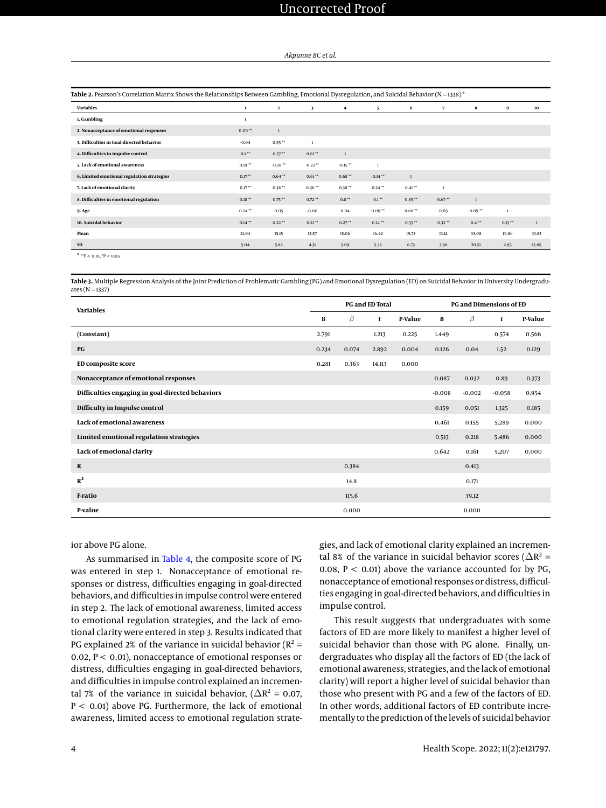# Uncorrected Proof

#### *Akpunne BC et al.*

<span id="page-3-0"></span>

| <b>Variables</b>                           | $\mathbf{1}$ | $\mathbf{2}$ | 3            | 4            | 5            | 6            | $\overline{7}$ | 8            | 9            | 10           |
|--------------------------------------------|--------------|--------------|--------------|--------------|--------------|--------------|----------------|--------------|--------------|--------------|
| 1. Gambling                                |              |              |              |              |              |              |                |              |              |              |
| 2. Nonacceptance of emotional responses    | $0.09**$     | $\mathbf{1}$ |              |              |              |              |                |              |              |              |
| 3. Difficulties in Goal-directed behavior  | $-0.04$      | $0.55***$    | $\mathbf{1}$ |              |              |              |                |              |              |              |
| 4. Difficulties in impulse control         | $0.1**$      | $0.57***$    | $0.61**$     | $\mathbf{1}$ |              |              |                |              |              |              |
| 5. Lack of emotional awareness             | $0.19**$     | $-0.28**$    | $-0.23**$    | $-0.15**$    | $\mathbf{I}$ |              |                |              |              |              |
| 6. Limited emotional regulation strategies | $0.17***$    | $0.64***$    | $0.61**$     | $0.68***$    | $-0.14***$   | $\mathbf{1}$ |                |              |              |              |
| 7. Lack of emotional clarity               | $0.17***$    | $0.38**$     | $0.36**$     | $0.38**$     | $0.24***$    | $0.41**$     | $\mathbf{1}$   |              |              |              |
| 8. Difficulties in emotional regulation    | $0.18***$    | $0.75***$    | $0.72**$     | $0.8***$     | $0.1***$     | $0.85***$    | $0.67**$       | $\mathbf{1}$ |              |              |
| 9. Age                                     | $0.24***$    | 0.05         | $-0.00$      | 0.04         | $0.09**$     | $0.08**$     | 0.05           | $0.09**$     | $\mathbf{1}$ |              |
| 10. Suicidal behavior                      | $0.14***$    | $0.22***$    | $0.21***$    | $0.27**$     | $0.14***$    | $0.33**$     | $0.32**$       | $0.4***$     | $0.13***$    | $\mathbf{1}$ |
| Mean                                       | 21.04        | 15.15        | 13.57        | 15.06        | 16.42        | 19.75        | 13.12          | 93.08        | 19.86        | 33.83        |
| SD                                         | 5.04         | 5.82         | 4.31         | 5.09         | 5.32         | 6.73         | 3.96           | 20.51        | 2.95         | 15.85        |

 $a_{*p}$  < 0.01,  $p$  < 0.05

<span id="page-3-1"></span>**Table 3.** Multiple Regression Analysis of the Joint Prediction of Problematic Gambling (PG) and Emotional Dysregulation (ED) on Suicidal Behavior in University Undergraduates ( $N = 1337$ )

| <b>Variables</b>                                 |       |       | <b>PG and ED Total</b> |                | <b>PG and Dimensions of ED</b> |          |          |                |  |
|--------------------------------------------------|-------|-------|------------------------|----------------|--------------------------------|----------|----------|----------------|--|
|                                                  | B     | β     | t                      | <b>P-Value</b> | В                              | $\beta$  | t        | <b>P-Value</b> |  |
| (Constant)                                       | 2.791 |       | 1.213                  | 0.225          | 1.449                          |          | 0.574    | 0.566          |  |
| PG                                               | 0.234 | 0.074 | 2.892                  | 0.004          | 0.126                          | 0.04     | 1.52     | 0.129          |  |
| <b>ED composite score</b>                        | 0.281 | 0.363 | 14.113                 | 0.000          |                                |          |          |                |  |
| Nonacceptance of emotional responses             |       |       |                        |                | 0.087                          | 0.032    | 0.89     | 0.373          |  |
| Difficulties engaging in goal-directed behaviors |       |       |                        |                | $-0.008$                       | $-0.002$ | $-0.058$ | 0.954          |  |
| Difficulty in Impulse control                    |       |       |                        |                | 0.159                          | 0.051    | 1.325    | 0.185          |  |
| Lack of emotional awareness                      |       |       |                        |                | 0.461                          | 0.155    | 5.289    | 0.000          |  |
| Limited emotional regulation strategies          |       |       |                        |                | 0.513                          | 0.218    | 5.486    | 0.000          |  |
| Lack of emotional clarity                        |       |       |                        |                | 0.642                          | 0.161    | 5.207    | 0.000          |  |
| R                                                |       | 0.384 |                        |                |                                | 0.413    |          |                |  |
| $R^2$                                            |       | 14.8  |                        |                |                                | 0.171    |          |                |  |
| F-ratio                                          |       | 115.6 |                        |                |                                | 39.12    |          |                |  |
| P-value                                          |       | 0.000 |                        |                |                                | 0.000    |          |                |  |

ior above PG alone.

As summarised in [Table 4,](#page-5-0) the composite score of PG was entered in step 1. Nonacceptance of emotional responses or distress, difficulties engaging in goal-directed behaviors, and difficulties in impulse control were entered in step 2. The lack of emotional awareness, limited access to emotional regulation strategies, and the lack of emotional clarity were entered in step 3. Results indicated that PG explained 2% of the variance in suicidal behavior ( $R^2$  = 0.02, P < 0.01), nonacceptance of emotional responses or distress, difficulties engaging in goal-directed behaviors, and difficulties in impulse control explained an incremental 7% of the variance in suicidal behavior, ( $\Delta R^2 = 0.07$ , P < 0.01) above PG. Furthermore, the lack of emotional awareness, limited access to emotional regulation strategies, and lack of emotional clarity explained an incremental 8% of the variance in suicidal behavior scores ( $\Delta R^2$  = 0.08,  $P < 0.01$ ) above the variance accounted for by PG, nonacceptance of emotional responses or distress, difficulties engaging in goal-directed behaviors, and difficulties in impulse control.

This result suggests that undergraduates with some factors of ED are more likely to manifest a higher level of suicidal behavior than those with PG alone. Finally, undergraduates who display all the factors of ED (the lack of emotional awareness, strategies, and the lack of emotional clarity) will report a higher level of suicidal behavior than those who present with PG and a few of the factors of ED. In other words, additional factors of ED contribute incrementally to the prediction of the levels of suicidal behavior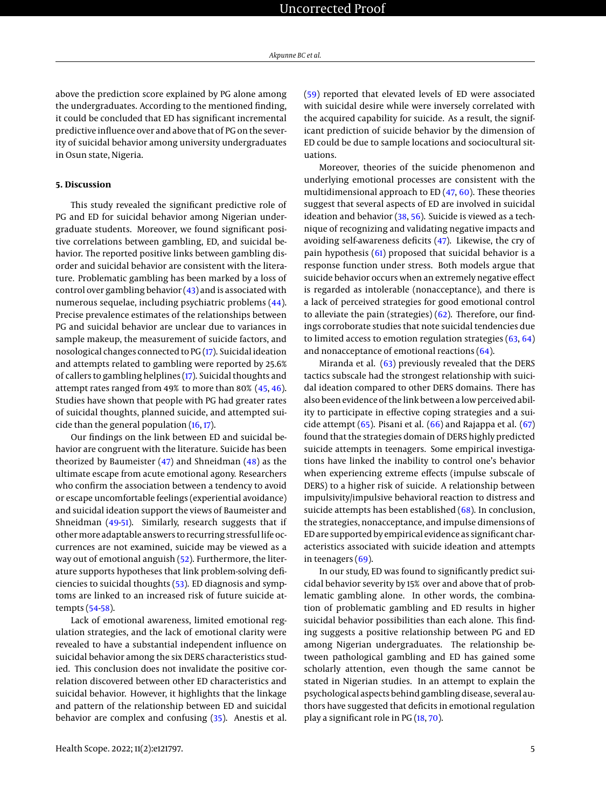above the prediction score explained by PG alone among the undergraduates. According to the mentioned finding, it could be concluded that ED has significant incremental predictive influence over and above that of PG on the severity of suicidal behavior among university undergraduates in Osun state, Nigeria.

### **5. Discussion**

This study revealed the significant predictive role of PG and ED for suicidal behavior among Nigerian undergraduate students. Moreover, we found significant positive correlations between gambling, ED, and suicidal behavior. The reported positive links between gambling disorder and suicidal behavior are consistent with the literature. Problematic gambling has been marked by a loss of control over gambling behavior  $(43)$  and is associated with numerous sequelae, including psychiatric problems [\(44\)](#page-7-16). Precise prevalence estimates of the relationships between PG and suicidal behavior are unclear due to variances in sample makeup, the measurement of suicide factors, and nosological changes connected to PG [\(17\)](#page-6-15). Suicidal ideation and attempts related to gambling were reported by 25.6% of callers to gambling helplines [\(17\)](#page-6-15). Suicidal thoughts and attempt rates ranged from 49% to more than 80% [\(45,](#page-7-17) [46\)](#page-7-18). Studies have shown that people with PG had greater rates of suicidal thoughts, planned suicide, and attempted suicide than the general population [\(16,](#page-6-14) [17\)](#page-6-15).

Our findings on the link between ED and suicidal behavior are congruent with the literature. Suicide has been theorized by Baumeister  $(47)$  and Shneidman  $(48)$  as the ultimate escape from acute emotional agony. Researchers who confirm the association between a tendency to avoid or escape uncomfortable feelings (experiential avoidance) and suicidal ideation support the views of Baumeister and Shneidman [\(49](#page-7-21)[-51\)](#page-7-22). Similarly, research suggests that if othermore adaptable answers to recurring stressful life occurrences are not examined, suicide may be viewed as a way out of emotional anguish [\(52\)](#page-7-23). Furthermore, the literature supports hypotheses that link problem-solving deficiencies to suicidal thoughts [\(53\)](#page-7-24). ED diagnosis and symptoms are linked to an increased risk of future suicide attempts [\(54-](#page-7-25)[58\)](#page-7-26).

Lack of emotional awareness, limited emotional regulation strategies, and the lack of emotional clarity were revealed to have a substantial independent influence on suicidal behavior among the six DERS characteristics studied. This conclusion does not invalidate the positive correlation discovered between other ED characteristics and suicidal behavior. However, it highlights that the linkage and pattern of the relationship between ED and suicidal behavior are complex and confusing [\(35\)](#page-7-7). Anestis et al.

[\(59\)](#page-7-27) reported that elevated levels of ED were associated with suicidal desire while were inversely correlated with the acquired capability for suicide. As a result, the significant prediction of suicide behavior by the dimension of ED could be due to sample locations and sociocultural situations.

Moreover, theories of the suicide phenomenon and underlying emotional processes are consistent with the multidimensional approach to ED [\(47,](#page-7-19) [60\)](#page-7-28). These theories suggest that several aspects of ED are involved in suicidal ideation and behavior [\(38,](#page-7-10) [56\)](#page-7-29). Suicide is viewed as a technique of recognizing and validating negative impacts and avoiding self-awareness deficits [\(47\)](#page-7-19). Likewise, the cry of pain hypothesis [\(61\)](#page-8-0) proposed that suicidal behavior is a response function under stress. Both models argue that suicide behavior occurs when an extremely negative effect is regarded as intolerable (nonacceptance), and there is a lack of perceived strategies for good emotional control to alleviate the pain (strategies) [\(62\)](#page-8-1). Therefore, our findings corroborate studies that note suicidal tendencies due to limited access to emotion regulation strategies [\(63,](#page-8-2) [64\)](#page-8-3) and nonacceptance of emotional reactions  $(64)$ .

Miranda et al. [\(63\)](#page-8-2) previously revealed that the DERS tactics subscale had the strongest relationship with suicidal ideation compared to other DERS domains. There has also been evidence of the link between a low perceived ability to participate in effective coping strategies and a suicide attempt  $(65)$ . Pisani et al.  $(66)$  and Rajappa et al.  $(67)$ found that the strategies domain of DERS highly predicted suicide attempts in teenagers. Some empirical investigations have linked the inability to control one's behavior when experiencing extreme effects (impulse subscale of DERS) to a higher risk of suicide. A relationship between impulsivity/impulsive behavioral reaction to distress and suicide attempts has been established [\(68\)](#page-8-7). In conclusion, the strategies, nonacceptance, and impulse dimensions of ED are supported by empirical evidence as significant characteristics associated with suicide ideation and attempts in teenagers  $(69)$ .

In our study, ED was found to significantly predict suicidal behavior severity by 15% over and above that of problematic gambling alone. In other words, the combination of problematic gambling and ED results in higher suicidal behavior possibilities than each alone. This finding suggests a positive relationship between PG and ED among Nigerian undergraduates. The relationship between pathological gambling and ED has gained some scholarly attention, even though the same cannot be stated in Nigerian studies. In an attempt to explain the psychological aspects behind gambling disease, several authors have suggested that deficits in emotional regulation play a significant role in PG [\(18,](#page-6-16) [70\)](#page-8-9).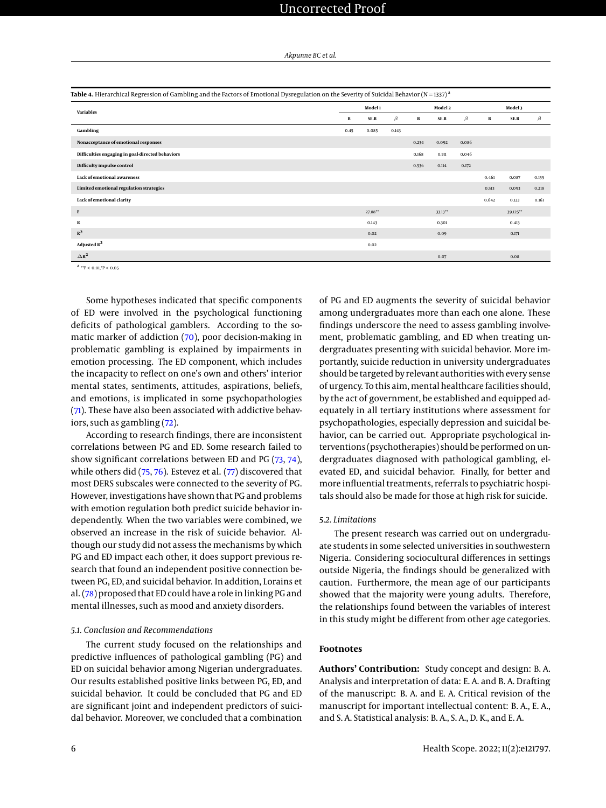*Akpunne BC et al.*

<span id="page-5-0"></span>

| Table 4. Hierarchical Regression of Gambling and the Factors of Emotional Dysregulation on the Severity of Suicidal Behavior (N = 1337) <sup>a</sup> |         |         |         |         |            |         |         |          |         |
|------------------------------------------------------------------------------------------------------------------------------------------------------|---------|---------|---------|---------|------------|---------|---------|----------|---------|
| Variables                                                                                                                                            | Model 1 |         |         | Model 2 |            |         | Model 3 |          |         |
|                                                                                                                                                      | B       | SE.B    | $\beta$ | в       | SE.B       | $\beta$ | в       | SE.B     | $\beta$ |
| Gambling                                                                                                                                             | 0.45    | 0.085   | 0.143   |         |            |         |         |          |         |
| Nonacceptance of emotional responses                                                                                                                 |         |         |         | 0.234   | 0.092      | 0.086   |         |          |         |
| Difficulties engaging in goal-directed behaviors                                                                                                     |         |         |         | 0.168   | 0.131      | 0.046   |         |          |         |
| Difficulty impulse control                                                                                                                           |         |         |         | 0.536   | 0.114      | 0.172   |         |          |         |
| Lack of emotional awareness                                                                                                                          |         |         |         |         |            |         | 0.461   | 0.087    | 0.155   |
| Limited emotional regulation strategies                                                                                                              |         |         |         |         |            |         | 0.513   | 0.093    | 0.218   |
| Lack of emotional clarity                                                                                                                            |         |         |         |         |            |         | 0.642   | 0.123    | 0.161   |
| $\mathbf F$                                                                                                                                          |         | 27.88** |         |         | $33.13***$ |         |         | 39.125** |         |
| R                                                                                                                                                    |         | 0.143   |         |         | 0.301      |         |         | 0.413    |         |
| $R^2$                                                                                                                                                |         | 0.02    |         |         | 0.09       |         |         | 0.171    |         |
| Adjusted $R^2$                                                                                                                                       |         | 0.02    |         |         |            |         |         |          |         |
| $\triangle R^2$                                                                                                                                      |         |         |         |         | 0.07       |         |         | 0.08     |         |

 $a^{4}$  \*\*P < 0.01,\*P < 0.05

Some hypotheses indicated that specific components of ED were involved in the psychological functioning deficits of pathological gamblers. According to the somatic marker of addiction [\(70\)](#page-8-9), poor decision-making in problematic gambling is explained by impairments in emotion processing. The ED component, which includes the incapacity to reflect on one's own and others' interior mental states, sentiments, attitudes, aspirations, beliefs, and emotions, is implicated in some psychopathologies [\(71\)](#page-8-10). These have also been associated with addictive behaviors, such as gambling [\(72\)](#page-8-11).

According to research findings, there are inconsistent correlations between PG and ED. Some research failed to show significant correlations between ED and PG [\(73,](#page-8-12) [74\)](#page-8-13), while others did [\(75,](#page-8-14) [76\)](#page-8-15). Estevez et al. [\(77\)](#page-8-16) discovered that most DERS subscales were connected to the severity of PG. However, investigations have shown that PG and problems with emotion regulation both predict suicide behavior independently. When the two variables were combined, we observed an increase in the risk of suicide behavior. Although our study did not assess the mechanisms by which PG and ED impact each other, it does support previous research that found an independent positive connection between PG, ED, and suicidal behavior. In addition, Lorains et al. [\(78\)](#page-8-17) proposed that ED could have a role in linking PG and mental illnesses, such as mood and anxiety disorders.

### *5.1. Conclusion and Recommendations*

The current study focused on the relationships and predictive influences of pathological gambling (PG) and ED on suicidal behavior among Nigerian undergraduates. Our results established positive links between PG, ED, and suicidal behavior. It could be concluded that PG and ED are significant joint and independent predictors of suicidal behavior. Moreover, we concluded that a combination

of PG and ED augments the severity of suicidal behavior among undergraduates more than each one alone. These findings underscore the need to assess gambling involvement, problematic gambling, and ED when treating undergraduates presenting with suicidal behavior. More importantly, suicide reduction in university undergraduates should be targeted by relevant authorities with every sense of urgency. To this aim, mental healthcare facilities should, by the act of government, be established and equipped adequately in all tertiary institutions where assessment for psychopathologies, especially depression and suicidal behavior, can be carried out. Appropriate psychological interventions (psychotherapies) should be performed on undergraduates diagnosed with pathological gambling, elevated ED, and suicidal behavior. Finally, for better and more influential treatments, referrals to psychiatric hospitals should also be made for those at high risk for suicide.

### *5.2. Limitations*

The present research was carried out on undergraduate students in some selected universities in southwestern Nigeria. Considering sociocultural differences in settings outside Nigeria, the findings should be generalized with caution. Furthermore, the mean age of our participants showed that the majority were young adults. Therefore, the relationships found between the variables of interest in this study might be different from other age categories.

### **Footnotes**

**Authors' Contribution:** Study concept and design: B. A. Analysis and interpretation of data: E. A. and B. A. Drafting of the manuscript: B. A. and E. A. Critical revision of the manuscript for important intellectual content: B. A., E. A., and S. A. Statistical analysis: B. A., S. A., D. K., and E. A.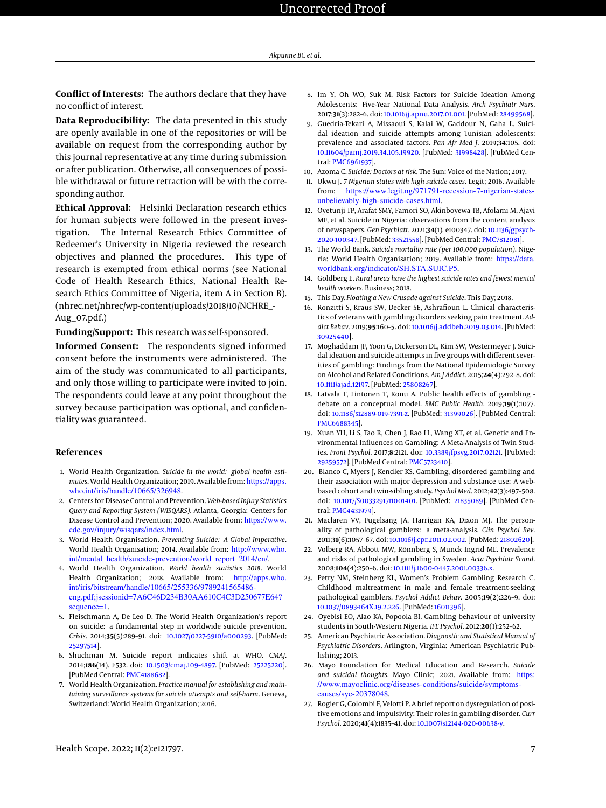# Uncorrected Proof

**Conflict of Interests:** The authors declare that they have no conflict of interest.

**Data Reproducibility:** The data presented in this study are openly available in one of the repositories or will be available on request from the corresponding author by this journal representative at any time during submission or after publication. Otherwise, all consequences of possible withdrawal or future retraction will be with the corresponding author.

**Ethical Approval:** Helsinki Declaration research ethics for human subjects were followed in the present investigation. The Internal Research Ethics Committee of Redeemer's University in Nigeria reviewed the research objectives and planned the procedures. This type of research is exempted from ethical norms (see National Code of Health Research Ethics, National Health Research Ethics Committee of Nigeria, item A in Section B). (nhrec.net/nhrec/wp-content/uploads/2018/10/NCHRE\_- Aug\_07.pdf.)

**Funding/Support:** This research was self-sponsored.

**Informed Consent:** The respondents signed informed consent before the instruments were administered. The aim of the study was communicated to all participants, and only those willing to participate were invited to join. The respondents could leave at any point throughout the survey because participation was optional, and confidentiality was guaranteed.

# **References**

- <span id="page-6-0"></span>1. World Health Organization. *Suicide in the world: global health estimates*. World Health Organization; 2019. Available from: [https://apps.](https://apps.who.int/iris/handle/10665/326948) [who.int/iris/handle/10665/326948](https://apps.who.int/iris/handle/10665/326948).
- <span id="page-6-1"></span>2. Centers for Disease Control and Prevention. *Web-based Injury Statistics Query and Reporting System (WISQARS)*. Atlanta, Georgia: Centers for Disease Control and Prevention; 2020. Available from: [https://www.](https://www.cdc.gov/injury/wisqars/index.html) [cdc.gov/injury/wisqars/index.html](https://www.cdc.gov/injury/wisqars/index.html).
- <span id="page-6-2"></span>3. World Health Organisation. *Preventing Suicide: A Global Imperative*. World Health Organisation; 2014. Available from: [http://www.who.](http://www.who.int/mental_health/suicide-prevention/world_report_2014/en/) [int/mental\\_health/suicide-prevention/world\\_report\\_2014/en/](http://www.who.int/mental_health/suicide-prevention/world_report_2014/en/).
- <span id="page-6-3"></span>4. World Health Organization. *World health statistics 2018*. World Health Organization; 2018. Available from: [http://apps.who.](http://apps.who.int/iris/bitstream/handle/10665/255336/9789241565486-eng.pdf;jsessionid=7A6C46D234B30AA610C4C3D250677E64?sequence=1) [int/iris/bitstream/handle/10665/255336/9789241565486](http://apps.who.int/iris/bitstream/handle/10665/255336/9789241565486-eng.pdf;jsessionid=7A6C46D234B30AA610C4C3D250677E64?sequence=1) [eng.pdf;jsessionid=7A6C46D234B30AA610C4C3D250677E64?](http://apps.who.int/iris/bitstream/handle/10665/255336/9789241565486-eng.pdf;jsessionid=7A6C46D234B30AA610C4C3D250677E64?sequence=1) [sequence=1](http://apps.who.int/iris/bitstream/handle/10665/255336/9789241565486-eng.pdf;jsessionid=7A6C46D234B30AA610C4C3D250677E64?sequence=1).
- <span id="page-6-4"></span>5. Fleischmann A, De Leo D. The World Health Organization's report on suicide: a fundamental step in worldwide suicide prevention. *Crisis*. 2014;**35**(5):289–91. doi: [10.1027/0227-5910/a000293.](http://dx.doi.org/10.1027/0227-5910/a000293) [PubMed: [25297514\]](http://www.ncbi.nlm.nih.gov/pubmed/25297514).
- <span id="page-6-5"></span>6. Shuchman M. Suicide report indicates shift at WHO. *CMAJ*. 2014;**186**(14). E532. doi: [10.1503/cmaj.109-4897.](http://dx.doi.org/10.1503/cmaj.109-4897) [PubMed: [25225220\]](http://www.ncbi.nlm.nih.gov/pubmed/25225220). [PubMed Central: [PMC4188682\]](https://www.ncbi.nlm.nih.gov/pmc/articles/PMC4188682).
- <span id="page-6-6"></span>7. World Health Organization. *Practice manual for establishing and maintaining surveillance systems for suicide attempts and self-harm*. Geneva, Switzerland: World Health Organization; 2016.
- <span id="page-6-7"></span>8. Im Y, Oh WO, Suk M. Risk Factors for Suicide Ideation Among Adolescents: Five-Year National Data Analysis. *Arch Psychiatr Nurs*. 2017;**31**(3):282–6. doi: [10.1016/j.apnu.2017.01.001.](http://dx.doi.org/10.1016/j.apnu.2017.01.001) [PubMed: [28499568\]](http://www.ncbi.nlm.nih.gov/pubmed/28499568).
- <span id="page-6-8"></span>9. Guedria-Tekari A, Missaoui S, Kalai W, Gaddour N, Gaha L. Suicidal ideation and suicide attempts among Tunisian adolescents: prevalence and associated factors. *Pan Afr Med J*. 2019;**34**:105. doi: [10.11604/pamj.2019.34.105.19920.](http://dx.doi.org/10.11604/pamj.2019.34.105.19920) [PubMed: [31998428\]](http://www.ncbi.nlm.nih.gov/pubmed/31998428). [PubMed Central: [PMC6961937\]](https://www.ncbi.nlm.nih.gov/pmc/articles/PMC6961937).
- <span id="page-6-9"></span>10. Azoma C. *Suicide: Doctors at risk*. The Sun: Voice of the Nation; 2017.
- 11. Ukwu J. *7 Nigerian states with high suicide cases*. Legit; 2016. Available from: [https://www.legit.ng/971791-recession-7-nigerian-states](https://www.legit.ng/971791-recession-7-nigerian-states-unbelievably-high-suicide-cases.html)[unbelievably-high-suicide-cases.html](https://www.legit.ng/971791-recession-7-nigerian-states-unbelievably-high-suicide-cases.html).
- <span id="page-6-10"></span>12. Oyetunji TP, Arafat SMY, Famori SO, Akinboyewa TB, Afolami M, Ajayi MF, et al. Suicide in Nigeria: observations from the content analysis of newspapers. *Gen Psychiatr*. 2021;**34**(1). e100347. doi: [10.1136/gpsych-](http://dx.doi.org/10.1136/gpsych-2020-100347)[2020-100347.](http://dx.doi.org/10.1136/gpsych-2020-100347) [PubMed: [33521558\]](http://www.ncbi.nlm.nih.gov/pubmed/33521558). [PubMed Central: [PMC7812081\]](https://www.ncbi.nlm.nih.gov/pmc/articles/PMC7812081).
- <span id="page-6-11"></span>13. The World Bank. *Suicide mortality rate (per 100,000 population)*. Nigeria: World Health Organisation; 2019. Available from: [https://data.](https://data.worldbank.org/indicator/SH.STA.SUIC.P5) [worldbank.org/indicator/SH.STA.SUIC.P5](https://data.worldbank.org/indicator/SH.STA.SUIC.P5).
- <span id="page-6-12"></span>14. Goldberg E. *Rural areas have the highest suicide rates and fewest mental health workers*. Business; 2018.
- <span id="page-6-13"></span>15. This Day. *Floating a New Crusade against Suicide*. This Day; 2018.
- <span id="page-6-14"></span>16. Ronzitti S, Kraus SW, Decker SE, Ashrafioun L. Clinical characteristics of veterans with gambling disorders seeking pain treatment. *Addict Behav*. 2019;**95**:160–5. doi: [10.1016/j.addbeh.2019.03.014.](http://dx.doi.org/10.1016/j.addbeh.2019.03.014) [PubMed: [30925440\]](http://www.ncbi.nlm.nih.gov/pubmed/30925440).
- <span id="page-6-15"></span>17. Moghaddam JF, Yoon G, Dickerson DL, Kim SW, Westermeyer J. Suicidal ideation and suicide attempts in five groups with different severities of gambling: Findings from the National Epidemiologic Survey on Alcohol and Related Conditions. *Am J Addict*. 2015;**24**(4):292–8. doi: [10.1111/ajad.12197.](http://dx.doi.org/10.1111/ajad.12197) [PubMed: [25808267\]](http://www.ncbi.nlm.nih.gov/pubmed/25808267).
- <span id="page-6-16"></span>18. Latvala T, Lintonen T, Konu A. Public health effects of gambling debate on a conceptual model. *BMC Public Health*. 2019;**19**(1):1077. doi: [10.1186/s12889-019-7391-z.](http://dx.doi.org/10.1186/s12889-019-7391-z) [PubMed: [31399026\]](http://www.ncbi.nlm.nih.gov/pubmed/31399026). [PubMed Central: [PMC6688345\]](https://www.ncbi.nlm.nih.gov/pmc/articles/PMC6688345).
- <span id="page-6-17"></span>19. Xuan YH, Li S, Tao R, Chen J, Rao LL, Wang XT, et al. Genetic and Environmental Influences on Gambling: A Meta-Analysis of Twin Studies. *Front Psychol*. 2017;**8**:2121. doi: [10.3389/fpsyg.2017.02121.](http://dx.doi.org/10.3389/fpsyg.2017.02121) [PubMed: [29259572\]](http://www.ncbi.nlm.nih.gov/pubmed/29259572). [PubMed Central: [PMC5723410\]](https://www.ncbi.nlm.nih.gov/pmc/articles/PMC5723410).
- <span id="page-6-18"></span>20. Blanco C, Myers J, Kendler KS. Gambling, disordered gambling and their association with major depression and substance use: A webbased cohort and twin-sibling study. *Psychol Med*. 2012;**42**(3):497–508. doi: [10.1017/S0033291711001401.](http://dx.doi.org/10.1017/S0033291711001401) [PubMed: [21835089\]](http://www.ncbi.nlm.nih.gov/pubmed/21835089). [PubMed Central: [PMC4431979\]](https://www.ncbi.nlm.nih.gov/pmc/articles/PMC4431979).
- <span id="page-6-19"></span>21. Maclaren VV, Fugelsang JA, Harrigan KA, Dixon MJ. The personality of pathological gamblers: a meta-analysis. *Clin Psychol Rev*. 2011;**31**(6):1057–67. doi: [10.1016/j.cpr.2011.02.002.](http://dx.doi.org/10.1016/j.cpr.2011.02.002) [PubMed: [21802620\]](http://www.ncbi.nlm.nih.gov/pubmed/21802620).
- <span id="page-6-20"></span>22. Volberg RA, Abbott MW, Rönnberg S, Munck Ingrid ME. Prevalence and risks of pathological gambling in Sweden. *Acta Psychiatr Scand*. 2008;**104**(4):250–6. doi: [10.1111/j.1600-0447.2001.00336.x.](http://dx.doi.org/10.1111/j.1600-0447.2001.00336.x)
- <span id="page-6-21"></span>23. Petry NM, Steinberg KL, Women's Problem Gambling Research C. Childhood maltreatment in male and female treatment-seeking pathological gamblers. *Psychol Addict Behav*. 2005;**19**(2):226–9. doi: [10.1037/0893-164X.19.2.226.](http://dx.doi.org/10.1037/0893-164X.19.2.226) [PubMed: [16011396\]](http://www.ncbi.nlm.nih.gov/pubmed/16011396).
- <span id="page-6-22"></span>24. Oyebisi EO, Alao KA, Popoola BI. Gambling behaviour of university students in South-Western Nigeria. *IFE Psychol*. 2012;**20**(1):252–62.
- <span id="page-6-23"></span>25. American Psychiatric Association. *Diagnostic and Statistical Manual of Psychiatric Disorders*. Arlington, Virginia: American Psychiatric Publishing; 2013.
- <span id="page-6-24"></span>26. Mayo Foundation for Medical Education and Research. *Suicide and suicidal thoughts*. Mayo Clinic; 2021. Available from: [https:](https://www.mayoclinic.org/diseases-conditions/suicide/symptoms-causes/syc-20378048) [//www.mayoclinic.org/diseases-conditions/suicide/symptoms](https://www.mayoclinic.org/diseases-conditions/suicide/symptoms-causes/syc-20378048)[causes/syc-20378048](https://www.mayoclinic.org/diseases-conditions/suicide/symptoms-causes/syc-20378048).
- <span id="page-6-25"></span>27. Rogier G, Colombi F, Velotti P. A brief report on dysregulation of positive emotions and impulsivity: Their roles in gambling disorder. *Curr Psychol*. 2020;**41**(4):1835–41. doi: [10.1007/s12144-020-00638-y.](http://dx.doi.org/10.1007/s12144-020-00638-y)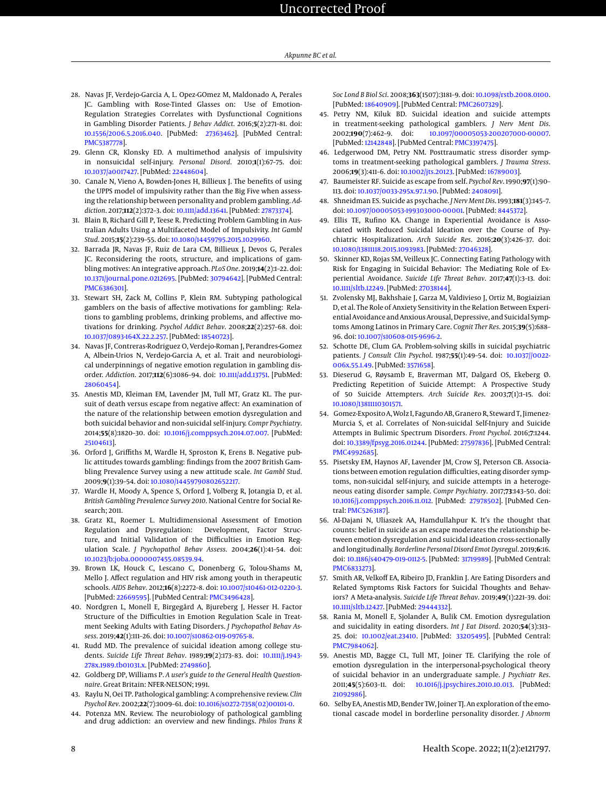- <span id="page-7-0"></span>28. Navas JF, Verdejo-Garcia A, L. Opez-GOmez M, Maldonado A, Perales JC. Gambling with Rose-Tinted Glasses on: Use of Emotion-Regulation Strategies Correlates with Dysfunctional Cognitions in Gambling Disorder Patients. *J Behav Addict*. 2016;**5**(2):271–81. doi: [10.1556/2006.5.2016.040.](http://dx.doi.org/10.1556/2006.5.2016.040) [PubMed: [27363462\]](http://www.ncbi.nlm.nih.gov/pubmed/27363462). [PubMed Central: [PMC5387778\]](https://www.ncbi.nlm.nih.gov/pmc/articles/PMC5387778).
- <span id="page-7-1"></span>29. Glenn CR, Klonsky ED. A multimethod analysis of impulsivity in nonsuicidal self-injury. *Personal Disord*. 2010;**1**(1):67–75. doi: [10.1037/a0017427.](http://dx.doi.org/10.1037/a0017427) [PubMed: [22448604\]](http://www.ncbi.nlm.nih.gov/pubmed/22448604).
- <span id="page-7-2"></span>30. Canale N, Vieno A, Bowden-Jones H, Billieux J. The benefits of using the UPPS model of impulsivity rather than the Big Five when assessing the relationship between personality and problem gambling. *Addiction*. 2017;**112**(2):372–3. doi: [10.1111/add.13641.](http://dx.doi.org/10.1111/add.13641) [PubMed: [27873374\]](http://www.ncbi.nlm.nih.gov/pubmed/27873374).
- <span id="page-7-3"></span>31. Blain B, Richard Gill P, Teese R. Predicting Problem Gambling in Australian Adults Using a Multifaceted Model of Impulsivity. *Int Gambl Stud*. 2015;**15**(2):239–55. doi: [10.1080/14459795.2015.1029960.](http://dx.doi.org/10.1080/14459795.2015.1029960)
- <span id="page-7-4"></span>32. Barrada JR, Navas JF, Ruiz de Lara CM, Billieux J, Devos G, Perales JC. Reconsidering the roots, structure, and implications of gambling motives: An integrative approach. *PLoS One*. 2019;**14**(2):1–22. doi: [10.1371/journal.pone.0212695.](http://dx.doi.org/10.1371/journal.pone.0212695) [PubMed: [30794642\]](http://www.ncbi.nlm.nih.gov/pubmed/30794642). [PubMed Central: [PMC6386301\]](https://www.ncbi.nlm.nih.gov/pmc/articles/PMC6386301).
- <span id="page-7-5"></span>33. Stewart SH, Zack M, Collins P, Klein RM. Subtyping pathological gamblers on the basis of affective motivations for gambling: Relations to gambling problems, drinking problems, and affective motivations for drinking. *Psychol Addict Behav*. 2008;**22**(2):257–68. doi: [10.1037/0893-164X.22.2.257.](http://dx.doi.org/10.1037/0893-164X.22.2.257) [PubMed: [18540723\]](http://www.ncbi.nlm.nih.gov/pubmed/18540723).
- <span id="page-7-6"></span>34. Navas JF, Contreras-Rodriguez O, Verdejo-Roman J, Perandres-Gomez A, Albein-Urios N, Verdejo-Garcia A, et al. Trait and neurobiological underpinnings of negative emotion regulation in gambling disorder. *Addiction*. 2017;**112**(6):1086–94. doi: [10.1111/add.13751.](http://dx.doi.org/10.1111/add.13751) [PubMed: [28060454\]](http://www.ncbi.nlm.nih.gov/pubmed/28060454).
- <span id="page-7-7"></span>35. Anestis MD, Kleiman EM, Lavender JM, Tull MT, Gratz KL. The pursuit of death versus escape from negative affect: An examination of the nature of the relationship between emotion dysregulation and both suicidal behavior and non-suicidal self-injury. *Compr Psychiatry*. 2014;**55**(8):1820–30. doi: [10.1016/j.comppsych.2014.07.007.](http://dx.doi.org/10.1016/j.comppsych.2014.07.007) [PubMed: [25104613\]](http://www.ncbi.nlm.nih.gov/pubmed/25104613).
- <span id="page-7-8"></span>36. Orford J, Griffiths M, Wardle H, Sproston K, Erens B. Negative public attitudes towards gambling: findings from the 2007 British Gambling Prevalence Survey using a new attitude scale. *Int Gambl Stud*. 2009;**9**(1):39–54. doi: [10.1080/14459790802652217.](http://dx.doi.org/10.1080/14459790802652217)
- <span id="page-7-9"></span>37. Wardle H, Moody A, Spence S, Orford J, Volberg R, Jotangia D, et al. *British Gambling Prevalence Survey 2010*. National Centre for Social Research; 2011.
- <span id="page-7-10"></span>38. Gratz KL, Roemer L. Multidimensional Assessment of Emotion Regulation and Dysregulation: Development, Factor Structure, and Initial Validation of the Difficulties in Emotion Regulation Scale. *J Psychopathol Behav Assess*. 2004;**26**(1):41–54. doi: [10.1023/b:joba.0000007455.08539.94.](http://dx.doi.org/10.1023/b:joba.0000007455.08539.94)
- <span id="page-7-11"></span>39. Brown LK, Houck C, Lescano C, Donenberg G, Tolou-Shams M, Mello J. Affect regulation and HIV risk among youth in therapeutic schools. *AIDS Behav*. 2012;**16**(8):2272–8. doi: [10.1007/s10461-012-0220-3.](http://dx.doi.org/10.1007/s10461-012-0220-3) [PubMed: [22669595\]](http://www.ncbi.nlm.nih.gov/pubmed/22669595). [PubMed Central: [PMC3496428\]](https://www.ncbi.nlm.nih.gov/pmc/articles/PMC3496428).
- <span id="page-7-12"></span>40. Nordgren L, Monell E, Birgegård A, Bjureberg J, Hesser H. Factor Structure of the Difficulties in Emotion Regulation Scale in Treatment Seeking Adults with Eating Disorders. *J Psychopathol Behav Assess*. 2019;**42**(1):111–26. doi: [10.1007/s10862-019-09765-8.](http://dx.doi.org/10.1007/s10862-019-09765-8)
- <span id="page-7-13"></span>41. Rudd MD. The prevalence of suicidal ideation among college students. *Suicide Life Threat Behav*. 1989;**19**(2):173–83. doi: [10.1111/j.1943-](http://dx.doi.org/10.1111/j.1943-278x.1989.tb01031.x) [278x.1989.tb01031.x.](http://dx.doi.org/10.1111/j.1943-278x.1989.tb01031.x) [PubMed: [2749860\]](http://www.ncbi.nlm.nih.gov/pubmed/2749860).
- <span id="page-7-14"></span>42. Goldberg DP, Williams P. *A user's guide to the General Health Questionnaire*. Great Britain: NFER-NELSON; 1991.
- <span id="page-7-15"></span>43. Raylu N, Oei TP. Pathological gambling: A comprehensive review. *Clin Psychol Rev*. 2002;**22**(7):1009–61. doi: [10.1016/s0272-7358\(02\)00101-0.](http://dx.doi.org/10.1016/s0272-7358(02)00101-0)
- <span id="page-7-16"></span>44. Potenza MN. Review. The neurobiology of pathological gambling and drug addiction: an overview and new findings. *Philos Trans l*

*Soc Lond B Biol Sci*. 2008;**363**(1507):3181–9. doi: [10.1098/rstb.2008.0100.](http://dx.doi.org/10.1098/rstb.2008.0100) [PubMed: [18640909\]](http://www.ncbi.nlm.nih.gov/pubmed/18640909). [PubMed Central: [PMC2607329\]](https://www.ncbi.nlm.nih.gov/pmc/articles/PMC2607329).

- <span id="page-7-17"></span>45. Petry NM, Kiluk BD. Suicidal ideation and suicide attempts in treatment-seeking pathological gamblers. *J Nerv Ment Dis*. 2002;**190**(7):462–9. doi: [10.1097/00005053-200207000-00007.](http://dx.doi.org/10.1097/00005053-200207000-00007) [PubMed: [12142848\]](http://www.ncbi.nlm.nih.gov/pubmed/12142848). [PubMed Central: [PMC3397475\]](https://www.ncbi.nlm.nih.gov/pmc/articles/PMC3397475).
- <span id="page-7-18"></span>46. Ledgerwood DM, Petry NM. Posttraumatic stress disorder symptoms in treatment-seeking pathological gamblers. *J Trauma Stress*. 2006;**19**(3):411–6. doi: [10.1002/jts.20123.](http://dx.doi.org/10.1002/jts.20123) [PubMed: [16789003\]](http://www.ncbi.nlm.nih.gov/pubmed/16789003).
- <span id="page-7-19"></span>47. Baumeister RF. Suicide as escape from self. *Psychol Rev*. 1990;**97**(1):90– 113. doi: [10.1037/0033-295x.97.1.90.](http://dx.doi.org/10.1037/0033-295x.97.1.90) [PubMed: [2408091\]](http://www.ncbi.nlm.nih.gov/pubmed/2408091).
- <span id="page-7-20"></span>48. Shneidman ES. Suicide as psychache. *J Nerv Ment Dis*. 1993;**181**(3):145–7. doi: [10.1097/00005053-199303000-00001.](http://dx.doi.org/10.1097/00005053-199303000-00001) [PubMed: [8445372\]](http://www.ncbi.nlm.nih.gov/pubmed/8445372).
- <span id="page-7-21"></span>49. Ellis TE, Rufino KA. Change in Experiential Avoidance is Associated with Reduced Suicidal Ideation over the Course of Psychiatric Hospitalization. *Arch Suicide Res*. 2016;**20**(3):426–37. doi: [10.1080/13811118.2015.1093983.](http://dx.doi.org/10.1080/13811118.2015.1093983) [PubMed: [27046328\]](http://www.ncbi.nlm.nih.gov/pubmed/27046328).
- 50. Skinner KD, Rojas SM, Veilleux JC. Connecting Eating Pathology with Risk for Engaging in Suicidal Behavior: The Mediating Role of Experiential Avoidance. *Suicide Life Threat Behav*. 2017;**47**(1):3–13. doi: [10.1111/sltb.12249.](http://dx.doi.org/10.1111/sltb.12249) [PubMed: [27038144\]](http://www.ncbi.nlm.nih.gov/pubmed/27038144).
- <span id="page-7-22"></span>51. Zvolensky MJ, Bakhshaie J, Garza M, Valdivieso J, Ortiz M, Bogiaizian D, et al. The Role of Anxiety Sensitivity in the Relation Between Experiential Avoidance and Anxious Arousal, Depressive, and Suicidal Symptoms Among Latinos in Primary Care. *Cognit Ther Res*. 2015;**39**(5):688– 96. doi: [10.1007/s10608-015-9696-2.](http://dx.doi.org/10.1007/s10608-015-9696-2)
- <span id="page-7-23"></span>52. Schotte DE, Clum GA. Problem-solving skills in suicidal psychiatric patients. *J Consult Clin Psychol*. 1987;**55**(1):49–54. doi: [10.1037//0022-](http://dx.doi.org/10.1037//0022-006x.55.1.49) [006x.55.1.49.](http://dx.doi.org/10.1037//0022-006x.55.1.49) [PubMed: [3571658\]](http://www.ncbi.nlm.nih.gov/pubmed/3571658).
- <span id="page-7-24"></span>53. Dieserud G, Røysamb E, Braverman MT, Dalgard OS, Ekeberg Ø. Predicting Repetition of Suicide Attempt: A Prospective Study of 50 Suicide Attempters. *Arch Suicide Res*. 2003;**7**(1):1–15. doi: [10.1080/13811110301571.](http://dx.doi.org/10.1080/13811110301571)
- <span id="page-7-25"></span>54. Gomez-Exposito A,Wolz I, Fagundo AB, Granero R, Steward T, Jimenez-Murcia S, et al. Correlates of Non-suicidal Self-Injury and Suicide Attempts in Bulimic Spectrum Disorders. *Front Psychol*. 2016;**7**:1244. doi: [10.3389/fpsyg.2016.01244.](http://dx.doi.org/10.3389/fpsyg.2016.01244) [PubMed: [27597836\]](http://www.ncbi.nlm.nih.gov/pubmed/27597836). [PubMed Central: [PMC4992685\]](https://www.ncbi.nlm.nih.gov/pmc/articles/PMC4992685).
- 55. Pisetsky EM, Haynos AF, Lavender JM, Crow SJ, Peterson CB. Associations between emotion regulation difficulties, eating disorder symptoms, non-suicidal self-injury, and suicide attempts in a heterogeneous eating disorder sample. *Compr Psychiatry*. 2017;**73**:143–50. doi: [10.1016/j.comppsych.2016.11.012.](http://dx.doi.org/10.1016/j.comppsych.2016.11.012) [PubMed: [27978502\]](http://www.ncbi.nlm.nih.gov/pubmed/27978502). [PubMed Central: [PMC5263187\]](https://www.ncbi.nlm.nih.gov/pmc/articles/PMC5263187).
- <span id="page-7-29"></span>56. Al-Dajani N, Uliaszek AA, Hamdullahpur K. It's the thought that counts: belief in suicide as an escape moderates the relationship between emotion dysregulation and suicidal ideation cross-sectionally and longitudinally. *Borderline Personal Disord Emot Dysregul*. 2019;**6**:16. doi: [10.1186/s40479-019-0112-5.](http://dx.doi.org/10.1186/s40479-019-0112-5) [PubMed: [31719989\]](http://www.ncbi.nlm.nih.gov/pubmed/31719989). [PubMed Central: [PMC6833273\]](https://www.ncbi.nlm.nih.gov/pmc/articles/PMC6833273).
- 57. Smith AR, Velkoff EA, Ribeiro JD, Franklin J. Are Eating Disorders and Related Symptoms Risk Factors for Suicidal Thoughts and Behaviors? A Meta-analysis. *Suicide Life Threat Behav*. 2019;**49**(1):221–39. doi: [10.1111/sltb.12427.](http://dx.doi.org/10.1111/sltb.12427) [PubMed: [29444332\]](http://www.ncbi.nlm.nih.gov/pubmed/29444332).
- <span id="page-7-26"></span>58. Rania M, Monell E, Sjolander A, Bulik CM. Emotion dysregulation and suicidality in eating disorders. *Int J Eat Disord*. 2020;**54**(3):313– 25. doi: [10.1002/eat.23410.](http://dx.doi.org/10.1002/eat.23410) [PubMed: [33205495\]](http://www.ncbi.nlm.nih.gov/pubmed/33205495). [PubMed Central: [PMC7984062\]](https://www.ncbi.nlm.nih.gov/pmc/articles/PMC7984062).
- <span id="page-7-27"></span>59. Anestis MD, Bagge CL, Tull MT, Joiner TE. Clarifying the role of emotion dysregulation in the interpersonal-psychological theory of suicidal behavior in an undergraduate sample. *J Psychiatr Res*. 2011;**45**(5):603–11. doi: [10.1016/j.jpsychires.2010.10.013.](http://dx.doi.org/10.1016/j.jpsychires.2010.10.013) [PubMed: [21092986\]](http://www.ncbi.nlm.nih.gov/pubmed/21092986).
- <span id="page-7-28"></span>60. Selby EA, Anestis MD, Bender TW, Joiner TJ. An exploration of the emotional cascade model in borderline personality disorder. *J Abnorm*